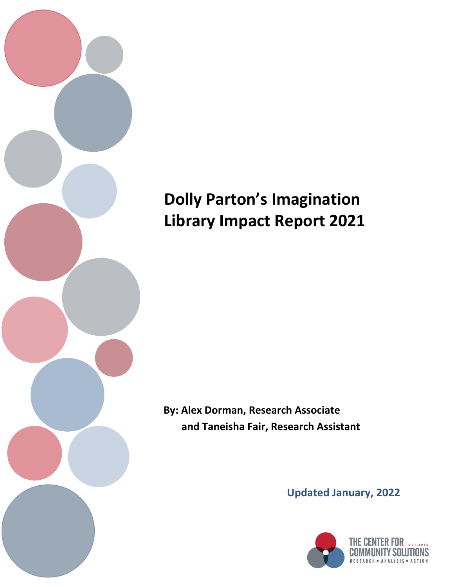

# **Dolly Parton's Imagination Library Impact Report 2021**

**By: Alex Dorman, Research Associate and Taneisha Fair, Research Assistant**

**Updated January, 2022**

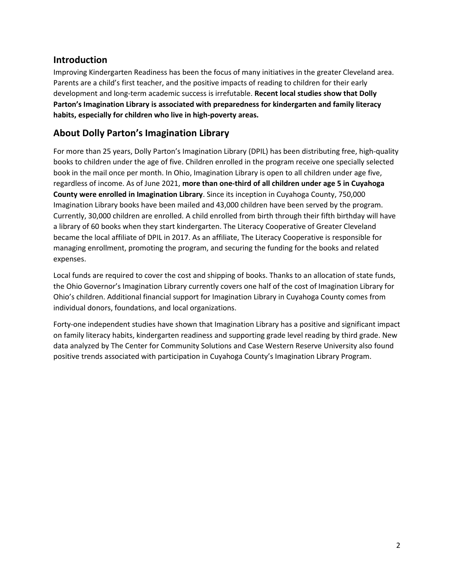# **Introduction**

Improving Kindergarten Readiness has been the focus of many initiatives in the greater Cleveland area. Parents are a child's first teacher, and the positive impacts of reading to children for their early development and long-term academic success is irrefutable. **Recent local studies show that Dolly Parton's Imagination Library is associated with preparedness for kindergarten and family literacy habits, especially for children who live in high-poverty areas.**

# **About Dolly Parton's Imagination Library**

For more than 25 years, Dolly Parton's Imagination Library (DPIL) has been distributing free, high-quality books to children under the age of five. Children enrolled in the program receive one specially selected book in the mail once per month. In Ohio, Imagination Library is open to all children under age five, regardless of income. As of June 2021, **more than one-third of all children under age 5 in Cuyahoga County were enrolled in Imagination Library**. Since its inception in Cuyahoga County, 750,000 Imagination Library books have been mailed and 43,000 children have been served by the program. Currently, 30,000 children are enrolled. A child enrolled from birth through their fifth birthday will have a library of 60 books when they start kindergarten. The Literacy Cooperative of Greater Cleveland became the local affiliate of DPIL in 2017. As an affiliate, The Literacy Cooperative is responsible for managing enrollment, promoting the program, and securing the funding for the books and related expenses.

Local funds are required to cover the cost and shipping of books. Thanks to an allocation of state funds, the Ohio Governor's Imagination Library currently covers one half of the cost of Imagination Library for Ohio's children. Additional financial support for Imagination Library in Cuyahoga County comes from individual donors, foundations, and local organizations.

Forty-one independent studies have shown that Imagination Library has a positive and significant impact on family literacy habits, kindergarten readiness and supporting grade level reading by third grade. New data analyzed by The Center for Community Solutions and Case Western Reserve University also found positive trends associated with participation in Cuyahoga County's Imagination Library Program.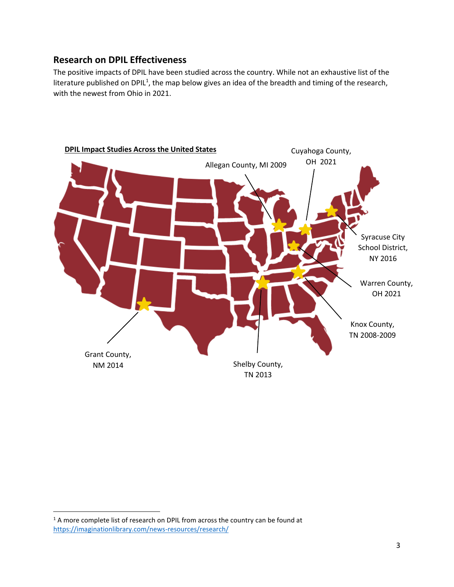# **Research on DPIL Effectiveness**

The positive impacts of DPIL have been studied across the country. While not an exhaustive list of the literature published on DPIL<sup>1</sup>, the map below gives an idea of the breadth and timing of the research, with the newest from Ohio in 2021.



 $\overline{\phantom{a}}$ 

 $1$  A more complete list of research on DPIL from across the country can be found at <https://imaginationlibrary.com/news-resources/research/>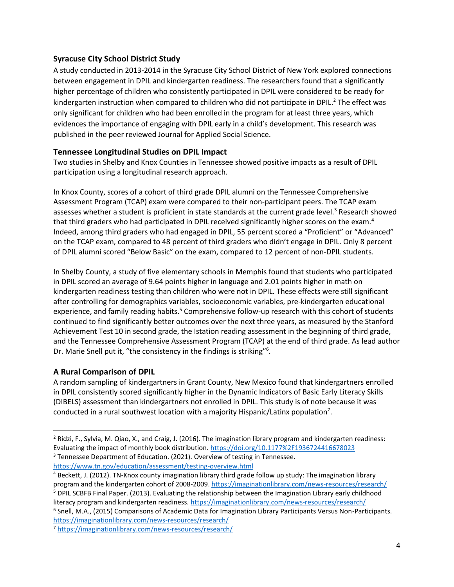#### **Syracuse City School District Study**

A study conducted in 2013-2014 in the Syracuse City School District of New York explored connections between engagement in DPIL and kindergarten readiness. The researchers found that a significantly higher percentage of children who consistently participated in DPIL were considered to be ready for kindergarten instruction when compared to children who did not participate in DPIL.<sup>2</sup> The effect was only significant for children who had been enrolled in the program for at least three years, which evidences the importance of engaging with DPIL early in a child's development. This research was published in the peer reviewed Journal for Applied Social Science.

#### **Tennessee Longitudinal Studies on DPIL Impact**

Two studies in Shelby and Knox Counties in Tennessee showed positive impacts as a result of DPIL participation using a longitudinal research approach.

In Knox County, scores of a cohort of third grade DPIL alumni on the Tennessee Comprehensive Assessment Program (TCAP) exam were compared to their non-participant peers. The TCAP exam assesses whether a student is proficient in state standards at the current grade level.<sup>3</sup> Research showed that third graders who had participated in DPIL received significantly higher scores on the exam.<sup>4</sup> Indeed, among third graders who had engaged in DPIL, 55 percent scored a "Proficient" or "Advanced" on the TCAP exam, compared to 48 percent of third graders who didn't engage in DPIL. Only 8 percent of DPIL alumni scored "Below Basic" on the exam, compared to 12 percent of non-DPIL students.

In Shelby County, a study of five elementary schools in Memphis found that students who participated in DPIL scored an average of 9.64 points higher in language and 2.01 points higher in math on kindergarten readiness testing than children who were not in DPIL. These effects were still significant after controlling for demographics variables, socioeconomic variables, pre-kindergarten educational experience, and family reading habits.<sup>5</sup> Comprehensive follow-up research with this cohort of students continued to find significantly better outcomes over the next three years, as measured by the Stanford Achievement Test 10 in second grade, the Istation reading assessment in the beginning of third grade, and the Tennessee Comprehensive Assessment Program (TCAP) at the end of third grade. As lead author Dr. Marie Snell put it, "the consistency in the findings is striking"<sup>6</sup>.

#### **A Rural Comparison of DPIL**

 $\overline{\phantom{a}}$ 

A random sampling of kindergartners in Grant County, New Mexico found that kindergartners enrolled in DPIL consistently scored significantly higher in the Dynamic Indicators of Basic Early Literacy Skills (DIBELS) assessment than kindergartners not enrolled in DPIL. This study is of note because it was conducted in a rural southwest location with a majority Hispanic/Latinx population<sup>7</sup>.

literacy program and kindergarten readiness.<https://imaginationlibrary.com/news-resources/research/> 6 Snell, M.A., (2015) Comparisons of Academic Data for Imagination Library Participants Versus Non-Participants. <https://imaginationlibrary.com/news-resources/research/>

<sup>&</sup>lt;sup>2</sup> Ridzi, F., Sylvia, M. Qiao, X., and Craig, J. (2016). The imagination library program and kindergarten readiness: Evaluating the impact of monthly book distribution.<https://doi.org/10.1177%2F1936724416678023> <sup>3</sup> Tennessee Department of Education. (2021). Overview of testing in Tennessee.

<https://www.tn.gov/education/assessment/testing-overview.html>

<sup>4</sup> Beckett, J. (2012). TN-Knox county imagination library third grade follow up study: The imagination library program and the kindergarten cohort of 2008-2009[. https://imaginationlibrary.com/news-resources/research/](https://imaginationlibrary.com/news-resources/research/) <sup>5</sup> DPIL SCBFB Final Paper. (2013). Evaluating the relationship between the Imagination Library early childhood

<sup>7</sup> <https://imaginationlibrary.com/news-resources/research/>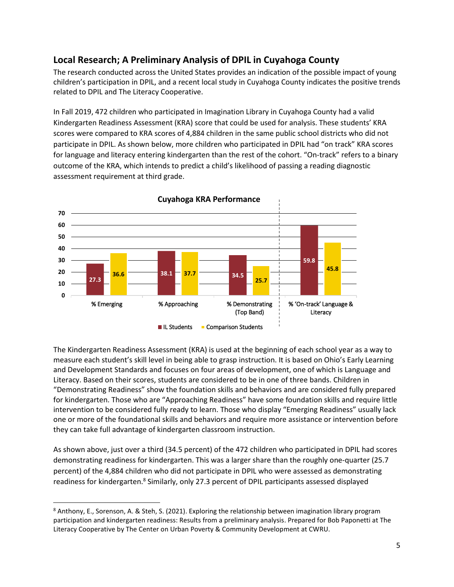# **Local Research; A Preliminary Analysis of DPIL in Cuyahoga County**

The research conducted across the United States provides an indication of the possible impact of young children's participation in DPIL, and a recent local study in Cuyahoga County indicates the positive trends related to DPIL and The Literacy Cooperative.

In Fall 2019, 472 children who participated in Imagination Library in Cuyahoga County had a valid Kindergarten Readiness Assessment (KRA) score that could be used for analysis. These students' KRA scores were compared to KRA scores of 4,884 children in the same public school districts who did not participate in DPIL. As shown below, more children who participated in DPIL had "on track" KRA scores for language and literacy entering kindergarten than the rest of the cohort. "On-track" refers to a binary outcome of the KRA, which intends to predict a child's likelihood of passing a reading diagnostic assessment requirement at third grade.



The Kindergarten Readiness Assessment (KRA) is used at the beginning of each school year as a way to measure each student's skill level in being able to grasp instruction. It is based on Ohio's Early Learning and Development Standards and focuses on four areas of development, one of which is Language and Literacy. Based on their scores, students are considered to be in one of three bands. Children in "Demonstrating Readiness" show the foundation skills and behaviors and are considered fully prepared for kindergarten. Those who are "Approaching Readiness" have some foundation skills and require little intervention to be considered fully ready to learn. Those who display "Emerging Readiness" usually lack one or more of the foundational skills and behaviors and require more assistance or intervention before they can take full advantage of kindergarten classroom instruction.

As shown above, just over a third (34.5 percent) of the 472 children who participated in DPIL had scores demonstrating readiness for kindergarten. This was a larger share than the roughly one-quarter (25.7 percent) of the 4,884 children who did not participate in DPIL who were assessed as demonstrating readiness for kindergarten.<sup>8</sup> Similarly, only 27.3 percent of DPIL participants assessed displayed

 $\overline{a}$ 

<sup>8</sup> Anthony, E., Sorenson, A. & Steh, S. (2021). Exploring the relationship between imagination library program participation and kindergarten readiness: Results from a preliminary analysis. Prepared for Bob Paponetti at The Literacy Cooperative by The Center on Urban Poverty & Community Development at CWRU.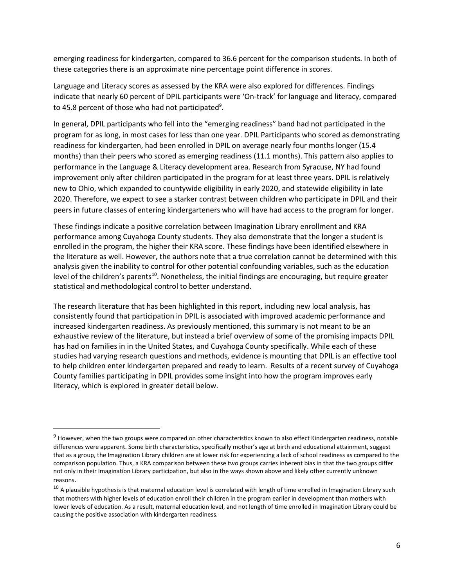emerging readiness for kindergarten, compared to 36.6 percent for the comparison students. In both of these categories there is an approximate nine percentage point difference in scores.

Language and Literacy scores as assessed by the KRA were also explored for differences. Findings indicate that nearly 60 percent of DPIL participants were 'On-track' for language and literacy, compared to 45.8 percent of those who had not participated<sup>9</sup>.

In general, DPIL participants who fell into the "emerging readiness" band had not participated in the program for as long, in most cases for less than one year. DPIL Participants who scored as demonstrating readiness for kindergarten, had been enrolled in DPIL on average nearly four months longer (15.4 months) than their peers who scored as emerging readiness (11.1 months). This pattern also applies to performance in the Language & Literacy development area. Research from Syracuse, NY had found improvement only after children participated in the program for at least three years. DPIL is relatively new to Ohio, which expanded to countywide eligibility in early 2020, and statewide eligibility in late 2020. Therefore, we expect to see a starker contrast between children who participate in DPIL and their peers in future classes of entering kindergarteners who will have had access to the program for longer.

These findings indicate a positive correlation between Imagination Library enrollment and KRA performance among Cuyahoga County students. They also demonstrate that the longer a student is enrolled in the program, the higher their KRA score. These findings have been identified elsewhere in the literature as well. However, the authors note that a true correlation cannot be determined with this analysis given the inability to control for other potential confounding variables, such as the education level of the children's parents<sup>10</sup>. Nonetheless, the initial findings are encouraging, but require greater statistical and methodological control to better understand.

The research literature that has been highlighted in this report, including new local analysis, has consistently found that participation in DPIL is associated with improved academic performance and increased kindergarten readiness. As previously mentioned, this summary is not meant to be an exhaustive review of the literature, but instead a brief overview of some of the promising impacts DPIL has had on families in in the United States, and Cuyahoga County specifically. While each of these studies had varying research questions and methods, evidence is mounting that DPIL is an effective tool to help children enter kindergarten prepared and ready to learn. Results of a recent survey of Cuyahoga County families participating in DPIL provides some insight into how the program improves early literacy, which is explored in greater detail below.

l

<sup>&</sup>lt;sup>9</sup> However, when the two groups were compared on other characteristics known to also effect Kindergarten readiness, notable differences were apparent. Some birth characteristics, specifically mother's age at birth and educational attainment, suggest that as a group, the Imagination Library children are at lower risk for experiencing a lack of school readiness as compared to the comparison population. Thus, a KRA comparison between these two groups carries inherent bias in that the two groups differ not only in their Imagination Library participation, but also in the ways shown above and likely other currently unknown reasons.

 $10$  A plausible hypothesis is that maternal education level is correlated with length of time enrolled in Imagination Library such that mothers with higher levels of education enroll their children in the program earlier in development than mothers with lower levels of education. As a result, maternal education level, and not length of time enrolled in Imagination Library could be causing the positive association with kindergarten readiness.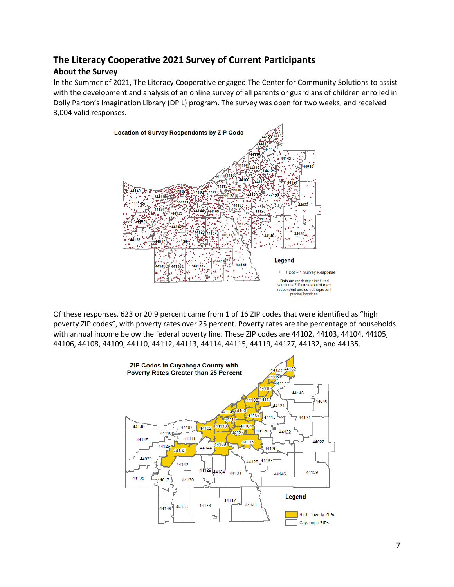# **The Literacy Cooperative 2021 Survey of Current Participants**

### **About the Survey**

In the Summer of 2021, The Literacy Cooperative engaged The Center for Community Solutions to assist with the development and analysis of an online survey of all parents or guardians of children enrolled in Dolly Parton's Imagination Library (DPIL) program. The survey was open for two weeks, and received 3,004 valid responses.



Of these responses, 623 or 20.9 percent came from 1 of 16 ZIP codes that were identified as "high poverty ZIP codes", with poverty rates over 25 percent. Poverty rates are the percentage of households with annual income below the federal poverty line. These ZIP codes are 44102, 44103, 44104, 44105, 44106, 44108, 44109, 44110, 44112, 44113, 44114, 44115, 44119, 44127, 44132, and 44135.

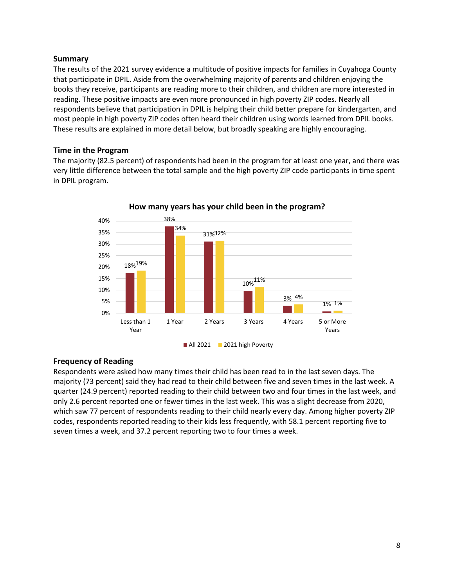#### **Summary**

The results of the 2021 survey evidence a multitude of positive impacts for families in Cuyahoga County that participate in DPIL. Aside from the overwhelming majority of parents and children enjoying the books they receive, participants are reading more to their children, and children are more interested in reading. These positive impacts are even more pronounced in high poverty ZIP codes. Nearly all respondents believe that participation in DPIL is helping their child better prepare for kindergarten, and most people in high poverty ZIP codes often heard their children using words learned from DPIL books. These results are explained in more detail below, but broadly speaking are highly encouraging.

#### **Time in the Program**

The majority (82.5 percent) of respondents had been in the program for at least one year, and there was very little difference between the total sample and the high poverty ZIP code participants in time spent in DPIL program.



#### **How many years has your child been in the program?**

#### **Frequency of Reading**

Respondents were asked how many times their child has been read to in the last seven days. The majority (73 percent) said they had read to their child between five and seven times in the last week. A quarter (24.9 percent) reported reading to their child between two and four times in the last week, and only 2.6 percent reported one or fewer times in the last week. This was a slight decrease from 2020, which saw 77 percent of respondents reading to their child nearly every day. Among higher poverty ZIP codes, respondents reported reading to their kids less frequently, with 58.1 percent reporting five to seven times a week, and 37.2 percent reporting two to four times a week.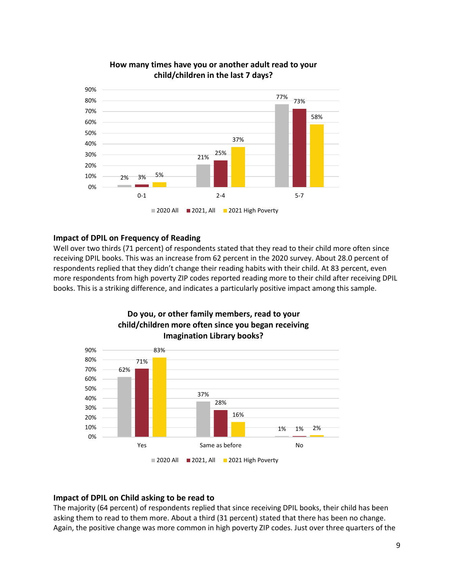

#### **How many times have you or another adult read to your child/children in the last 7 days?**

#### **Impact of DPIL on Frequency of Reading**

Well over two thirds (71 percent) of respondents stated that they read to their child more often since receiving DPIL books. This was an increase from 62 percent in the 2020 survey. About 28.0 percent of respondents replied that they didn't change their reading habits with their child. At 83 percent, even more respondents from high poverty ZIP codes reported reading more to their child after receiving DPIL books. This is a striking difference, and indicates a particularly positive impact among this sample.



# **Do you, or other family members, read to your**

#### **Impact of DPIL on Child asking to be read to**

The majority (64 percent) of respondents replied that since receiving DPIL books, their child has been asking them to read to them more. About a third (31 percent) stated that there has been no change. Again, the positive change was more common in high poverty ZIP codes. Just over three quarters of the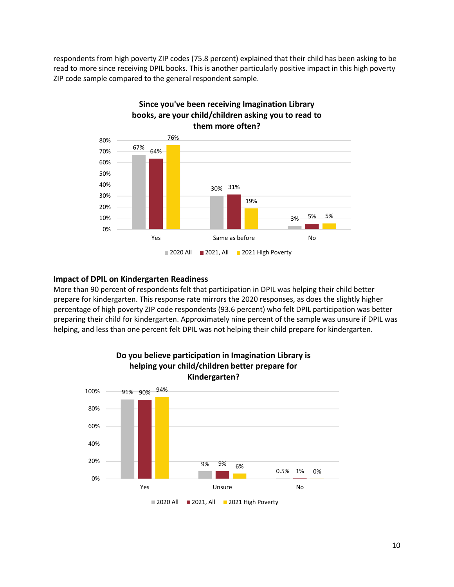respondents from high poverty ZIP codes (75.8 percent) explained that their child has been asking to be read to more since receiving DPIL books. This is another particularly positive impact in this high poverty ZIP code sample compared to the general respondent sample.



#### **Impact of DPIL on Kindergarten Readiness**

More than 90 percent of respondents felt that participation in DPIL was helping their child better prepare for kindergarten. This response rate mirrors the 2020 responses, as does the slightly higher percentage of high poverty ZIP code respondents (93.6 percent) who felt DPIL participation was better preparing their child for kindergarten. Approximately nine percent of the sample was unsure if DPIL was helping, and less than one percent felt DPIL was not helping their child prepare for kindergarten.

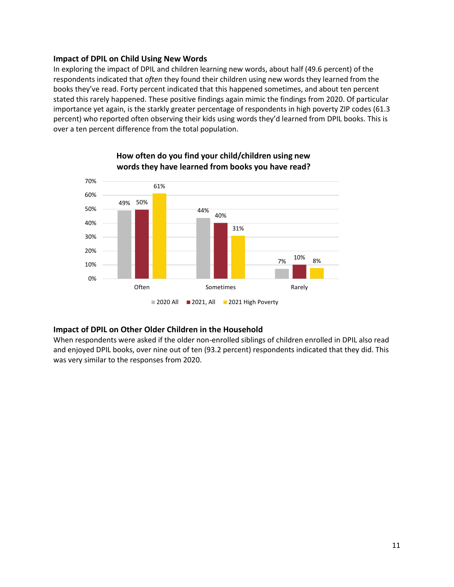#### **Impact of DPIL on Child Using New Words**

In exploring the impact of DPIL and children learning new words, about half (49.6 percent) of the respondents indicated that *often* they found their children using new words they learned from the books they've read. Forty percent indicated that this happened sometimes, and about ten percent stated this rarely happened. These positive findings again mimic the findings from 2020. Of particular importance yet again, is the starkly greater percentage of respondents in high poverty ZIP codes (61.3 percent) who reported often observing their kids using words they'd learned from DPIL books. This is over a ten percent difference from the total population.



#### **How often do you find your child/children using new words they have learned from books you have read?**

#### **Impact of DPIL on Other Older Children in the Household**

When respondents were asked if the older non-enrolled siblings of children enrolled in DPIL also read and enjoyed DPIL books, over nine out of ten (93.2 percent) respondents indicated that they did. This was very similar to the responses from 2020.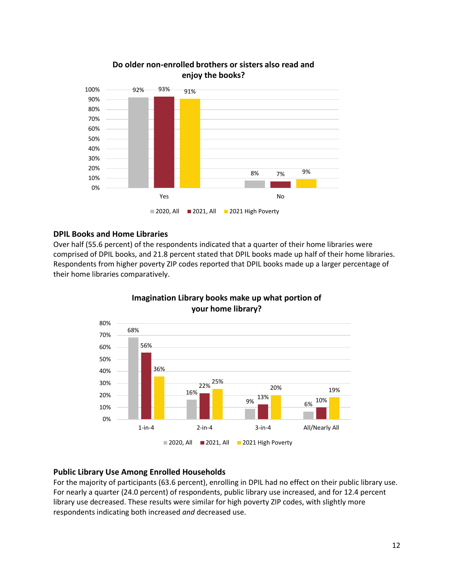

#### **Do older non-enrolled brothers or sisters also read and enjoy the books?**

#### **DPIL Books and Home Libraries**

Over half (55.6 percent) of the respondents indicated that a quarter of their home libraries were comprised of DPIL books, and 21.8 percent stated that DPIL books made up half of their home libraries. Respondents from higher poverty ZIP codes reported that DPIL books made up a larger percentage of their home libraries comparatively.



#### **Imagination Library books make up what portion of your home library?**

#### **Public Library Use Among Enrolled Households**

For the majority of participants (63.6 percent), enrolling in DPIL had no effect on their public library use. For nearly a quarter (24.0 percent) of respondents, public library use increased, and for 12.4 percent library use decreased. These results were similar for high poverty ZIP codes, with slightly more respondents indicating both increased *and* decreased use.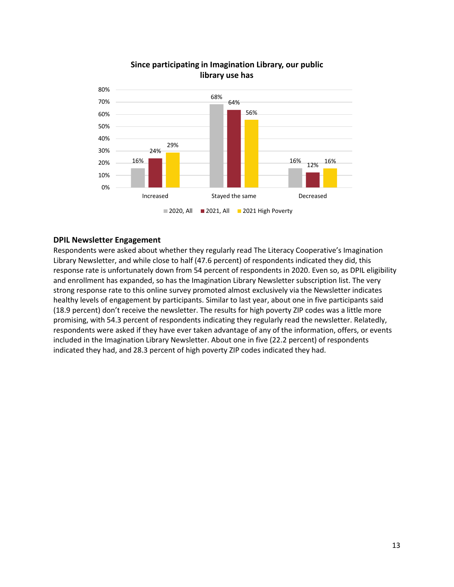

#### **Since participating in Imagination Library, our public library use has**

#### **DPIL Newsletter Engagement**

Respondents were asked about whether they regularly read The Literacy Cooperative's Imagination Library Newsletter, and while close to half (47.6 percent) of respondents indicated they did, this response rate is unfortunately down from 54 percent of respondents in 2020. Even so, as DPIL eligibility and enrollment has expanded, so has the Imagination Library Newsletter subscription list. The very strong response rate to this online survey promoted almost exclusively via the Newsletter indicates healthy levels of engagement by participants. Similar to last year, about one in five participants said (18.9 percent) don't receive the newsletter. The results for high poverty ZIP codes was a little more promising, with 54.3 percent of respondents indicating they regularly read the newsletter. Relatedly, respondents were asked if they have ever taken advantage of any of the information, offers, or events included in the Imagination Library Newsletter. About one in five (22.2 percent) of respondents indicated they had, and 28.3 percent of high poverty ZIP codes indicated they had.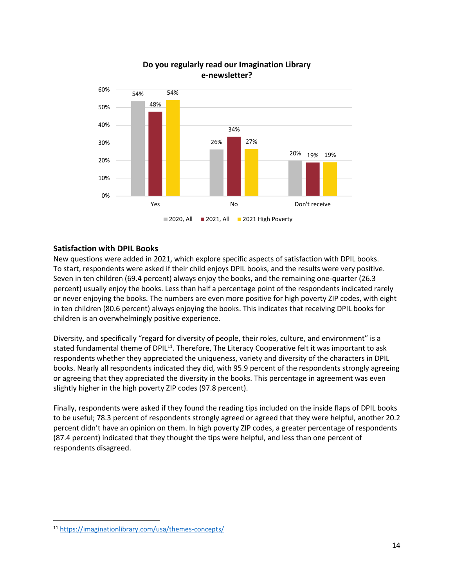

#### **Do you regularly read our Imagination Library e-newsletter?**

#### **Satisfaction with DPIL Books**

New questions were added in 2021, which explore specific aspects of satisfaction with DPIL books. To start, respondents were asked if their child enjoys DPIL books, and the results were very positive. Seven in ten children (69.4 percent) always enjoy the books, and the remaining one-quarter (26.3 percent) usually enjoy the books. Less than half a percentage point of the respondents indicated rarely or never enjoying the books. The numbers are even more positive for high poverty ZIP codes, with eight in ten children (80.6 percent) always enjoying the books. This indicates that receiving DPIL books for children is an overwhelmingly positive experience.

Diversity, and specifically "regard for diversity of people, their roles, culture, and environment" is a stated fundamental theme of DPIL<sup>11</sup>. Therefore, The Literacy Cooperative felt it was important to ask respondents whether they appreciated the uniqueness, variety and diversity of the characters in DPIL books. Nearly all respondents indicated they did, with 95.9 percent of the respondents strongly agreeing or agreeing that they appreciated the diversity in the books. This percentage in agreement was even slightly higher in the high poverty ZIP codes (97.8 percent).

Finally, respondents were asked if they found the reading tips included on the inside flaps of DPIL books to be useful; 78.3 percent of respondents strongly agreed or agreed that they were helpful, another 20.2 percent didn't have an opinion on them. In high poverty ZIP codes, a greater percentage of respondents (87.4 percent) indicated that they thought the tips were helpful, and less than one percent of respondents disagreed.

 $\overline{\phantom{a}}$ 

<sup>11</sup> <https://imaginationlibrary.com/usa/themes-concepts/>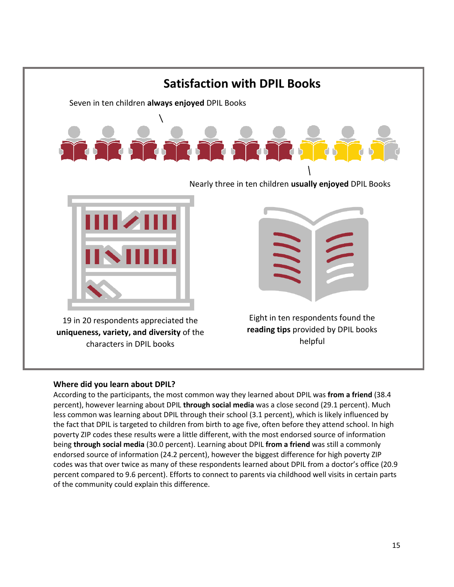

# **Where did you learn about DPIL?**

According to the participants, the most common way they learned about DPIL was **from a friend** (38.4 percent), however learning about DPIL **through social media** was a close second (29.1 percent). Much less common was learning about DPIL through their school (3.1 percent), which is likely influenced by the fact that DPIL is targeted to children from birth to age five, often before they attend school. In high poverty ZIP codes these results were a little different, with the most endorsed source of information being **through social media** (30.0 percent). Learning about DPIL **from a friend** was still a commonly endorsed source of information (24.2 percent), however the biggest difference for high poverty ZIP codes was that over twice as many of these respondents learned about DPIL from a doctor's office (20.9 percent compared to 9.6 percent). Efforts to connect to parents via childhood well visits in certain parts of the community could explain this difference.